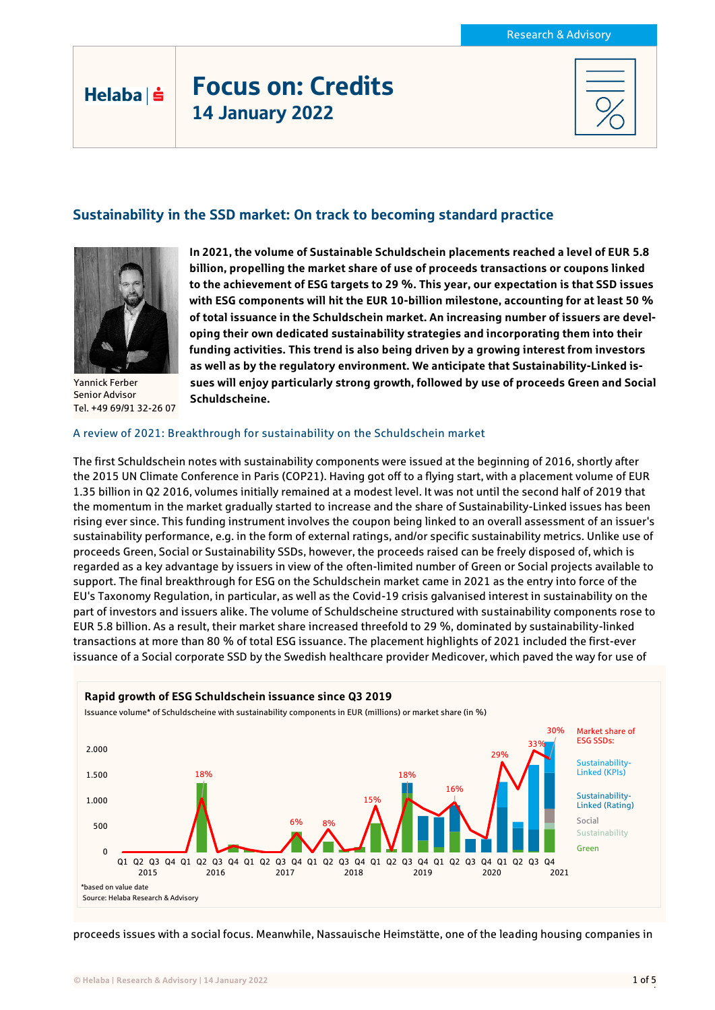# Focus on: Credits 14 January 2022

## Sustainability in the SSD market: On track to becoming standard practice



Helaba | s

Yannick Ferber Senior Advisor Tel. +49 69/91 32-26 07

**In 2021, the volume of Sustainable Schuldschein placements reached a level of EUR 5.8 billion, propelling the market share of use of proceeds transactions or coupons linked to the achievement of ESG targets to 29 %. This year, our expectation is that SSD issues with ESG components will hit the EUR 10-billion milestone, accounting for at least 50 % of total issuance in the Schuldschein market. An increasing number of issuers are developing their own dedicated sustainability strategies and incorporating them into their funding activities. This trend is also being driven by a growing interest from investors as well as by the regulatory environment. We anticipate that Sustainability-Linked issues will enjoy particularly strong growth, followed by use of proceeds Green and Social Schuldscheine.**

#### A review of 2021: Breakthrough for sustainability on the Schuldschein market

The first Schuldschein notes with sustainability components were issued at the beginning of 2016, shortly after the 2015 UN Climate Conference in Paris (COP21). Having got off to a flying start, with a placement volume of EUR 1.35 billion in Q2 2016, volumes initially remained at a modest level. It was not until the second half of 2019 that the momentum in the market gradually started to increase and the share of Sustainability-Linked issues has been rising ever since. This funding instrument involves the coupon being linked to an overall assessment of an issuer's sustainability performance, e.g. in the form of external ratings, and/or specific sustainability metrics. Unlike use of proceeds Green, Social or Sustainability SSDs, however, the proceeds raised can be freely disposed of, which is regarded as a key advantage by issuers in view of the often-limited number of Green or Social projects available to support. The final breakthrough for ESG on the Schuldschein market came in 2021 as the entry into force of the EU's Taxonomy Regulation, in particular, as well as the Covid-19 crisis galvanised interest in sustainability on the part of investors and issuers alike. The volume of Schuldscheine structured with sustainability components rose to EUR 5.8 billion. As a result, their market share increased threefold to 29 %, dominated by sustainability-linked transactions at more than 80 % of total ESG issuance. The placement highlights of 2021 included the first-ever issuance of a Social corporate SSD by the Swedish healthcare provider Medicover, which paved the way for use of



proceeds issues with a social focus. Meanwhile, Nassauische Heimstätte, one of the leading housing companies in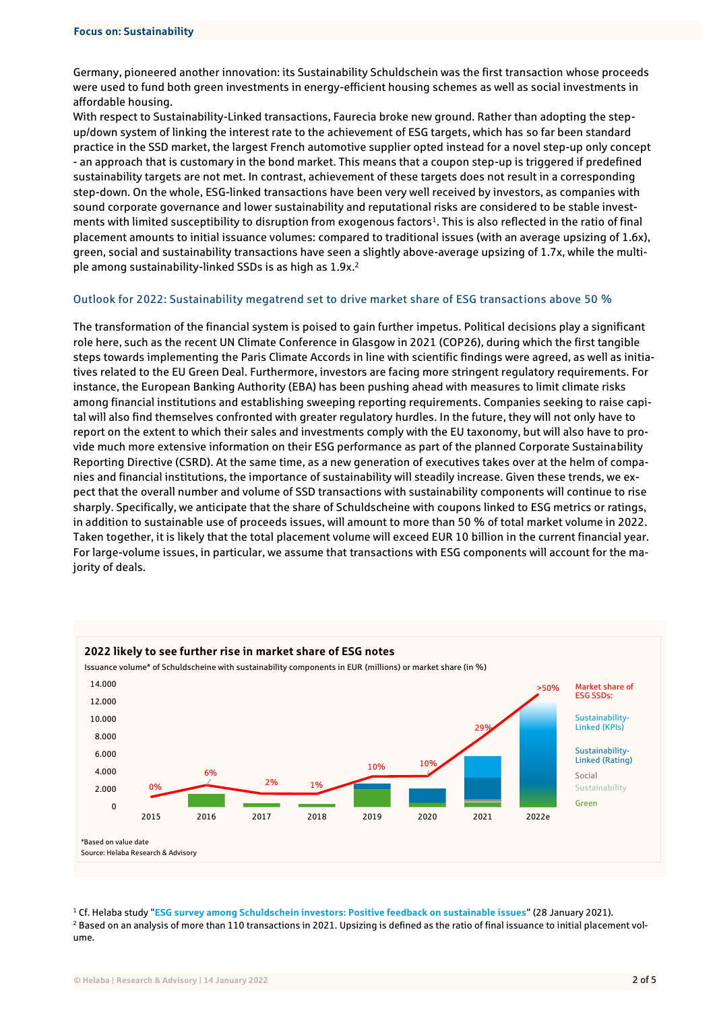Germany, pioneered another innovation: its Sustainability Schuldschein was the first transaction whose proceeds were used to fund both green investments in energy-efficient housing schemes as well as social investments in affordable housing.

With respect to Sustainability-Linked transactions, Faurecia broke new ground. Rather than adopting the stepup/down system of linking the interest rate to the achievement of ESG targets, which has so far been standard practice in the SSD market, the largest French automotive supplier opted instead for a novel step-up only concept - an approach that is customary in the bond market. This means that a coupon step-up is triggered if predefined sustainability targets are not met. In contrast, achievement of these targets does not result in a corresponding step-down. On the whole, ESG-linked transactions have been very well received by investors, as companies with sound corporate governance and lower sustainability and reputational risks are considered to be stable investments with limited susceptibility to disruption from exogenous factors<sup>1</sup>. This is also reflected in the ratio of final placement amounts to initial issuance volumes: compared to traditional issues (with an average upsizing of 1.6x), green, social and sustainability transactions have seen a slightly above-average upsizing of 1.7x, while the multiple among sustainability-linked SSDs is as high as 1.9x.<sup>2</sup>

#### Outlook for 2022: Sustainability megatrend set to drive market share of ESG transactions above 50 %

The transformation of the financial system is poised to gain further impetus. Political decisions play a significant role here, such as the recent UN Climate Conference in Glasgow in 2021 (COP26), during which the first tangible steps towards implementing the Paris Climate Accords in line with scientific findings were agreed, as well as initiatives related to the EU Green Deal. Furthermore, investors are facing more stringent regulatory requirements. For instance, the European Banking Authority (EBA) has been pushing ahead with measures to limit climate risks among financial institutions and establishing sweeping reporting requirements. Companies seeking to raise capital will also find themselves confronted with greater regulatory hurdles. In the future, they will not only have to report on the extent to which their sales and investments comply with the EU taxonomy, but will also have to provide much more extensive information on their ESG performance as part of the planned Corporate Sustainability Reporting Directive (CSRD). At the same time, as a new generation of executives takes over at the helm of companies and financial institutions, the importance of sustainability will steadily increase. Given these trends, we expect that the overall number and volume of SSD transactions with sustainability components will continue to rise sharply. Specifically, we anticipate that the share of Schuldscheine with coupons linked to ESG metrics or ratings, in addition to sustainable use of proceeds issues, will amount to more than 50 % of total market volume in 2022. Taken together, it is likely that the total placement volume will exceed EUR 10 billion in the current financial year. For large-volume issues, in particular, we assume that transactions with ESG components will account for the majority of deals.



<sup>1</sup> Cf. Helaba study "**[ESG survey among Schuldschein investors: Positive feedback on sustainable issues](https://www.helaba.de/blueprint/servlet/resource/blob/docs/544168/d2dd99e641282206976b8d15e6f2a188/cs-20210128-e-data.pdf)**" (28 January 2021). <sup>2</sup> Based on an analysis of more than 110 transactions in 2021. Upsizing is defined as the ratio of final issuance to initial placement volume.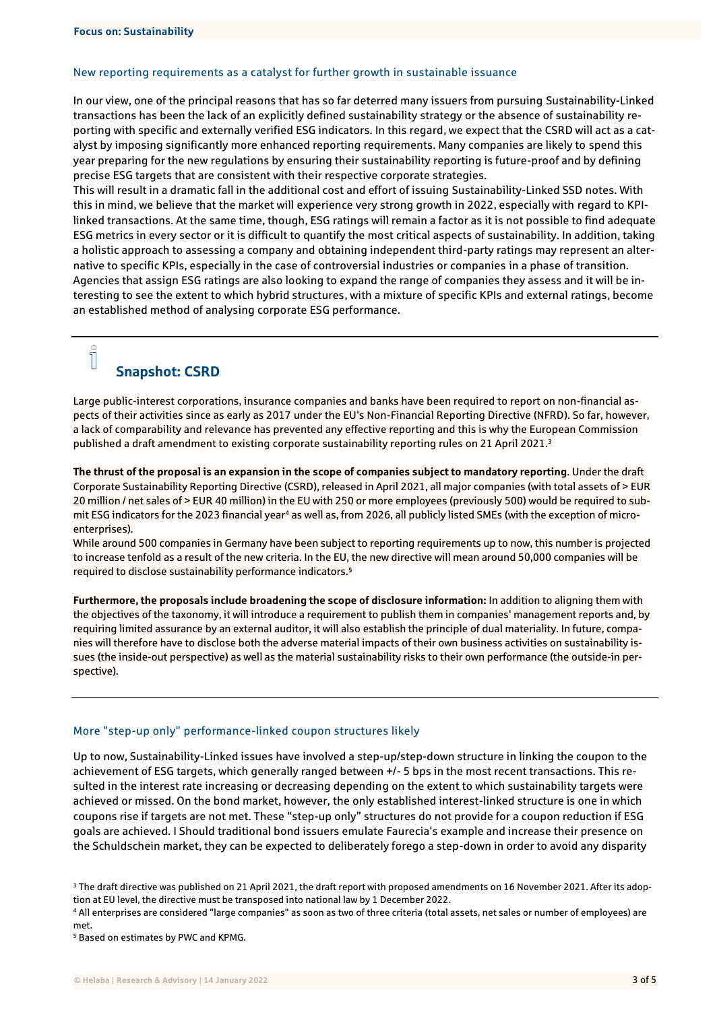#### New reporting requirements as a catalyst for further growth in sustainable issuance

In our view, one of the principal reasons that has so far deterred many issuers from pursuing Sustainability-Linked transactions has been the lack of an explicitly defined sustainability strategy or the absence of sustainability reporting with specific and externally verified ESG indicators. In this regard, we expect that the CSRD will act as a catalyst by imposing significantly more enhanced reporting requirements. Many companies are likely to spend this year preparing for the new regulations by ensuring their sustainability reporting is future-proof and by defining precise ESG targets that are consistent with their respective corporate strategies.

This will result in a dramatic fall in the additional cost and effort of issuing Sustainability-Linked SSD notes. With this in mind, we believe that the market will experience very strong growth in 2022, especially with regard to KPIlinked transactions. At the same time, though, ESG ratings will remain a factor as it is not possible to find adequate ESG metrics in every sector or it is difficult to quantify the most critical aspects of sustainability. In addition, taking a holistic approach to assessing a company and obtaining independent third-party ratings may represent an alternative to specific KPIs, especially in the case of controversial industries or companies in a phase of transition. Agencies that assign ESG ratings are also looking to expand the range of companies they assess and it will be interesting to see the extent to which hybrid structures, with a mixture of specific KPIs and external ratings, become an established method of analysing corporate ESG performance.

# Snapshot: CSRD

 $\overline{\Pi}$ 

Large public-interest corporations, insurance companies and banks have been required to report on non-financial aspects of their activities since as early as 2017 under the EU's Non-Financial Reporting Directive (NFRD). So far, however, a lack of comparability and relevance has prevented any effective reporting and this is why the European Commission published a draft amendment to existing corporate sustainability reporting rules on 21 April 2021.<sup>3</sup>

**The thrust of the proposal is an expansion in the scope of companies subject to mandatory reporting**. Under the draft Corporate Sustainability Reporting Directive (CSRD), released in April 2021, all major companies (with total assets of > EUR 20 million / net sales of > EUR 40 million) in the EU with 250 or more employees (previously 500) would be required to submit ESG indicators for the 2023 financial year<sup>4</sup> as well as, from 2026, all publicly listed SMEs (with the exception of microenterprises).

While around 500 companies in Germany have been subject to reporting requirements up to now, this number is projected to increase tenfold as a result of the new criteria. In the EU, the new directive will mean around 50,000 companies will be required to disclose sustainability performance indicators. **5**

**Furthermore, the proposals include broadening the scope of disclosure information:** In addition to aligning them with the objectives of the taxonomy, it will introduce a requirement to publish them in companies' management reports and, by requiring limited assurance by an external auditor, it will also establish the principle of dual materiality. In future, companies will therefore have to disclose both the adverse material impacts of their own business activities on sustainability issues (the inside-out perspective) as well as the material sustainability risks to their own performance (the outside-in perspective).

#### More "step-up only" performance-linked coupon structures likely

Up to now, Sustainability-Linked issues have involved a step-up/step-down structure in linking the coupon to the achievement of ESG targets, which generally ranged between +/- 5 bps in the most recent transactions. This resulted in the interest rate increasing or decreasing depending on the extent to which sustainability targets were achieved or missed. On the bond market, however, the only established interest-linked structure is one in which coupons rise if targets are not met. These "step-up only" structures do not provide for a coupon reduction if ESG goals are achieved. I Should traditional bond issuers emulate Faurecia's example and increase their presence on the Schuldschein market, they can be expected to deliberately forego a step-down in order to avoid any disparity

<sup>5</sup> Based on estimates by PWC and KPMG.

<sup>&</sup>lt;sup>3</sup> The draft directive was published on 21 April 2021, the draft report with proposed amendments on 16 November 2021. After its adoption at EU level, the directive must be transposed into national law by 1 December 2022.

<sup>4</sup> All enterprises are considered "large companies" as soon as two of three criteria (total assets, net sales or number of employees) are met.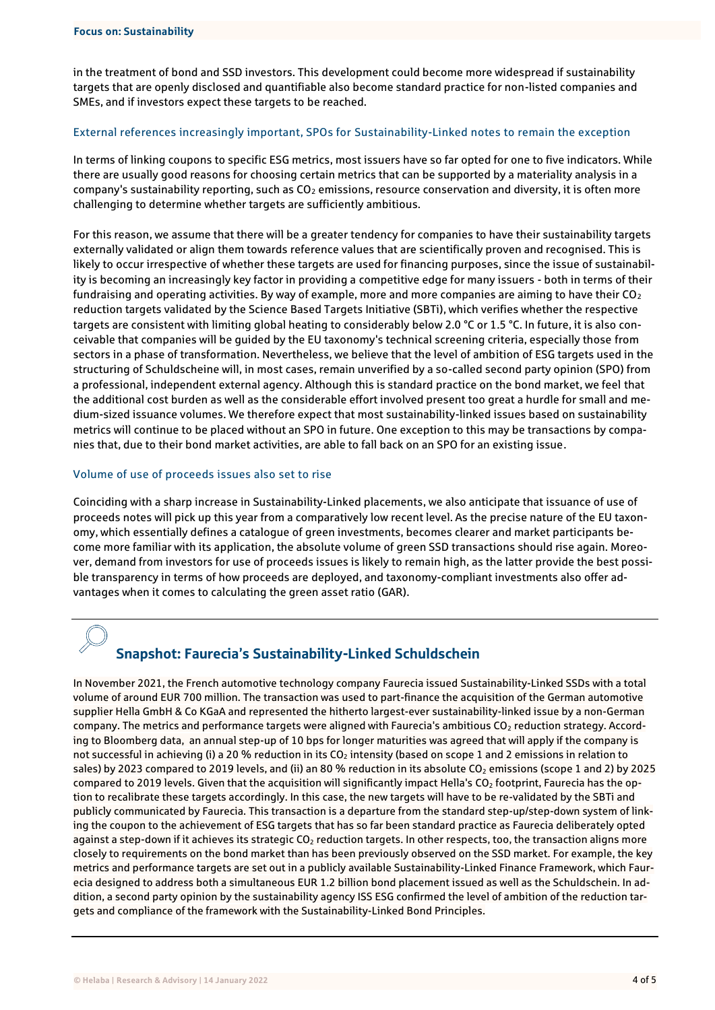in the treatment of bond and SSD investors. This development could become more widespread if sustainability targets that are openly disclosed and quantifiable also become standard practice for non-listed companies and SMEs, and if investors expect these targets to be reached.

#### External references increasingly important, SPOs for Sustainability-Linked notes to remain the exception

In terms of linking coupons to specific ESG metrics, most issuers have so far opted for one to five indicators. While there are usually good reasons for choosing certain metrics that can be supported by a materiality analysis in a company's sustainability reporting, such as CO<sub>2</sub> emissions, resource conservation and diversity, it is often more challenging to determine whether targets are sufficiently ambitious.

For this reason, we assume that there will be a greater tendency for companies to have their sustainability targets externally validated or align them towards reference values that are scientifically proven and recognised. This is likely to occur irrespective of whether these targets are used for financing purposes, since the issue of sustainability is becoming an increasingly key factor in providing a competitive edge for many issuers - both in terms of their fundraising and operating activities. By way of example, more and more companies are aiming to have their CO<sub>2</sub> reduction targets validated by the Science Based Targets Initiative (SBTi), which verifies whether the respective targets are consistent with limiting global heating to considerably below 2.0 °C or 1.5 °C. In future, it is also conceivable that companies will be guided by the EU taxonomy's technical screening criteria, especially those from sectors in a phase of transformation. Nevertheless, we believe that the level of ambition of ESG targets used in the structuring of Schuldscheine will, in most cases, remain unverified by a so-called second party opinion (SPO) from a professional, independent external agency. Although this is standard practice on the bond market, we feel that the additional cost burden as well as the considerable effort involved present too great a hurdle for small and medium-sized issuance volumes. We therefore expect that most sustainability-linked issues based on sustainability metrics will continue to be placed without an SPO in future. One exception to this may be transactions by companies that, due to their bond market activities, are able to fall back on an SPO for an existing issue.

#### Volume of use of proceeds issues also set to rise

Coinciding with a sharp increase in Sustainability-Linked placements, we also anticipate that issuance of use of proceeds notes will pick up this year from a comparatively low recent level. As the precise nature of the EU taxonomy, which essentially defines a catalogue of green investments, becomes clearer and market participants become more familiar with its application, the absolute volume of green SSD transactions should rise again. Moreover, demand from investors for use of proceeds issues is likely to remain high, as the latter provide the best possible transparency in terms of how proceeds are deployed, and taxonomy-compliant investments also offer advantages when it comes to calculating the green asset ratio (GAR).

# Snapshot: Faurecia's Sustainability-Linked Schuldschein

In November 2021, the French automotive technology company Faurecia issued Sustainability-Linked SSDs with a total volume of around EUR 700 million. The transaction was used to part-finance the acquisition of the German automotive supplier Hella GmbH & Co KGaA and represented the hitherto largest-ever sustainability-linked issue by a non-German company. The metrics and performance targets were aligned with Faurecia's ambitious CO<sub>2</sub> reduction strategy. According to Bloomberg data, an annual step-up of 10 bps for longer maturities was agreed that will apply if the company is not successful in achieving (i) a 20 % reduction in its CO<sub>2</sub> intensity (based on scope 1 and 2 emissions in relation to sales) by 2023 compared to 2019 levels, and (ii) an 80 % reduction in its absolute CO<sub>2</sub> emissions (scope 1 and 2) by 2025 compared to 2019 levels. Given that the acquisition will significantly impact Hella's  $CO<sub>2</sub>$  footprint, Faurecia has the option to recalibrate these targets accordingly. In this case, the new targets will have to be re-validated by the SBTi and publicly communicated by Faurecia. This transaction is a departure from the standard step-up/step-down system of linking the coupon to the achievement of ESG targets that has so far been standard practice as Faurecia deliberately opted against a step-down if it achieves its strategic CO<sub>2</sub> reduction targets. In other respects, too, the transaction aligns more closely to requirements on the bond market than has been previously observed on the SSD market. For example, the key metrics and performance targets are set out in a publicly available Sustainability-Linked Finance Framework, which Faurecia designed to address both a simultaneous EUR 1.2 billion bond placement issued as well as the Schuldschein. In addition, a second party opinion by the sustainability agency ISS ESG confirmed the level of ambition of the reduction targets and compliance of the framework with the Sustainability-Linked Bond Principles.